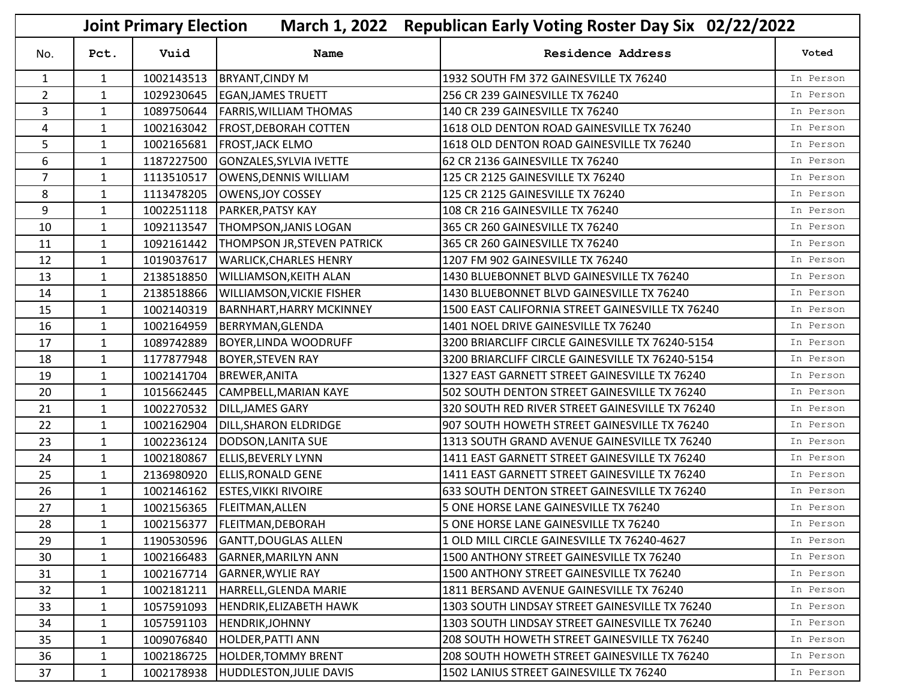|                |              | <b>Joint Primary Election</b> |                                  | March 1, 2022 Republican Early Voting Roster Day Six 02/22/2022 |           |  |
|----------------|--------------|-------------------------------|----------------------------------|-----------------------------------------------------------------|-----------|--|
| No.            | Pct.         | Vuid                          | Name                             | <b>Residence Address</b>                                        | Voted     |  |
| $\mathbf{1}$   | $\mathbf{1}$ | 1002143513                    | <b>BRYANT, CINDY M</b>           | 1932 SOUTH FM 372 GAINESVILLE TX 76240                          | In Person |  |
| $\overline{2}$ | $\mathbf{1}$ | 1029230645                    | <b>EGAN, JAMES TRUETT</b>        | 256 CR 239 GAINESVILLE TX 76240                                 | In Person |  |
| 3              | $\mathbf{1}$ | 1089750644                    | <b>FARRIS, WILLIAM THOMAS</b>    | 140 CR 239 GAINESVILLE TX 76240                                 | In Person |  |
| 4              | $\mathbf{1}$ | 1002163042                    | <b>FROST, DEBORAH COTTEN</b>     | 1618 OLD DENTON ROAD GAINESVILLE TX 76240                       | In Person |  |
| 5              | 1            | 1002165681                    | <b>FROST, JACK ELMO</b>          | 1618 OLD DENTON ROAD GAINESVILLE TX 76240                       | In Person |  |
| 6              | $\mathbf{1}$ | 1187227500                    | GONZALES, SYLVIA IVETTE          | 62 CR 2136 GAINESVILLE TX 76240                                 | In Person |  |
| $\overline{7}$ | $\mathbf{1}$ | 1113510517                    | OWENS, DENNIS WILLIAM            | 125 CR 2125 GAINESVILLE TX 76240                                | In Person |  |
| 8              | $\mathbf{1}$ | 1113478205                    | OWENS, JOY COSSEY                | 125 CR 2125 GAINESVILLE TX 76240                                | In Person |  |
| 9              | $\mathbf{1}$ | 1002251118                    | <b>PARKER, PATSY KAY</b>         | 108 CR 216 GAINESVILLE TX 76240                                 | In Person |  |
| 10             | $\mathbf{1}$ | 1092113547                    | <b>THOMPSON, JANIS LOGAN</b>     | 365 CR 260 GAINESVILLE TX 76240                                 | In Person |  |
| 11             | $\mathbf{1}$ | 1092161442                    | THOMPSON JR, STEVEN PATRICK      | 365 CR 260 GAINESVILLE TX 76240                                 | In Person |  |
| 12             | $\mathbf{1}$ | 1019037617                    | <b>WARLICK, CHARLES HENRY</b>    | 1207 FM 902 GAINESVILLE TX 76240                                | In Person |  |
| 13             | $\mathbf{1}$ | 2138518850                    | <b>WILLIAMSON, KEITH ALAN</b>    | 1430 BLUEBONNET BLVD GAINESVILLE TX 76240                       | In Person |  |
| 14             | $\mathbf{1}$ | 2138518866                    | <b>WILLIAMSON, VICKIE FISHER</b> | 1430 BLUEBONNET BLVD GAINESVILLE TX 76240                       | In Person |  |
| 15             | $\mathbf{1}$ | 1002140319                    | <b>BARNHART, HARRY MCKINNEY</b>  | 1500 EAST CALIFORNIA STREET GAINESVILLE TX 76240                | In Person |  |
| 16             | $\mathbf{1}$ | 1002164959                    | BERRYMAN, GLENDA                 | 1401 NOEL DRIVE GAINESVILLE TX 76240                            | In Person |  |
| 17             | $\mathbf{1}$ | 1089742889                    | <b>BOYER, LINDA WOODRUFF</b>     | 3200 BRIARCLIFF CIRCLE GAINESVILLE TX 76240-5154                | In Person |  |
| 18             | $\mathbf{1}$ | 1177877948                    | <b>BOYER, STEVEN RAY</b>         | 3200 BRIARCLIFF CIRCLE GAINESVILLE TX 76240-5154                | In Person |  |
| 19             | $\mathbf{1}$ | 1002141704                    | <b>BREWER, ANITA</b>             | 1327 EAST GARNETT STREET GAINESVILLE TX 76240                   | In Person |  |
| 20             | $\mathbf{1}$ | 1015662445                    | CAMPBELL, MARIAN KAYE            | 502 SOUTH DENTON STREET GAINESVILLE TX 76240                    | In Person |  |
| 21             | $\mathbf{1}$ | 1002270532                    | <b>DILL, JAMES GARY</b>          | 320 SOUTH RED RIVER STREET GAINESVILLE TX 76240                 | In Person |  |
| 22             | $\mathbf{1}$ | 1002162904                    | DILL, SHARON ELDRIDGE            | 907 SOUTH HOWETH STREET GAINESVILLE TX 76240                    | In Person |  |
| 23             | $\mathbf{1}$ | 1002236124                    | DODSON, LANITA SUE               | 1313 SOUTH GRAND AVENUE GAINESVILLE TX 76240                    | In Person |  |
| 24             | 1            | 1002180867                    | <b>ELLIS, BEVERLY LYNN</b>       | 1411 EAST GARNETT STREET GAINESVILLE TX 76240                   | In Person |  |
| 25             | $\mathbf{1}$ | 2136980920                    | <b>ELLIS, RONALD GENE</b>        | 1411 EAST GARNETT STREET GAINESVILLE TX 76240                   | In Person |  |
| 26             | $\mathbf{1}$ | 1002146162                    | <b>ESTES, VIKKI RIVOIRE</b>      | 633 SOUTH DENTON STREET GAINESVILLE TX 76240                    | In Person |  |
| 27             | $\mathbf{1}$ |                               | 1002156365   FLEITMAN, ALLEN     | 5 ONE HORSE LANE GAINESVILLE TX 76240                           | In Person |  |
| 28             | $\mathbf{1}$ |                               | 1002156377   FLEITMAN, DEBORAH   | 5 ONE HORSE LANE GAINESVILLE TX 76240                           | In Person |  |
| 29             | $\mathbf{1}$ | 1190530596                    | <b>GANTT, DOUGLAS ALLEN</b>      | 1 OLD MILL CIRCLE GAINESVILLE TX 76240-4627                     | In Person |  |
| 30             | $\mathbf{1}$ | 1002166483                    | <b>GARNER, MARILYN ANN</b>       | 1500 ANTHONY STREET GAINESVILLE TX 76240                        | In Person |  |
| 31             | $\mathbf{1}$ | 1002167714                    | <b>GARNER, WYLIE RAY</b>         | 1500 ANTHONY STREET GAINESVILLE TX 76240                        | In Person |  |
| 32             | $\mathbf{1}$ | 1002181211                    | HARRELL, GLENDA MARIE            | 1811 BERSAND AVENUE GAINESVILLE TX 76240                        | In Person |  |
| 33             | 1            | 1057591093                    | <b>HENDRIK, ELIZABETH HAWK</b>   | 1303 SOUTH LINDSAY STREET GAINESVILLE TX 76240                  | In Person |  |
| 34             | $\mathbf{1}$ | 1057591103                    | <b>HENDRIK, JOHNNY</b>           | 1303 SOUTH LINDSAY STREET GAINESVILLE TX 76240                  | In Person |  |
| 35             | $\mathbf{1}$ | 1009076840                    | HOLDER, PATTI ANN                | 208 SOUTH HOWETH STREET GAINESVILLE TX 76240                    | In Person |  |
| 36             | 1            | 1002186725                    | <b>HOLDER, TOMMY BRENT</b>       | 208 SOUTH HOWETH STREET GAINESVILLE TX 76240                    | In Person |  |
| 37             | $\mathbf{1}$ | 1002178938                    | HUDDLESTON, JULIE DAVIS          | 1502 LANIUS STREET GAINESVILLE TX 76240                         | In Person |  |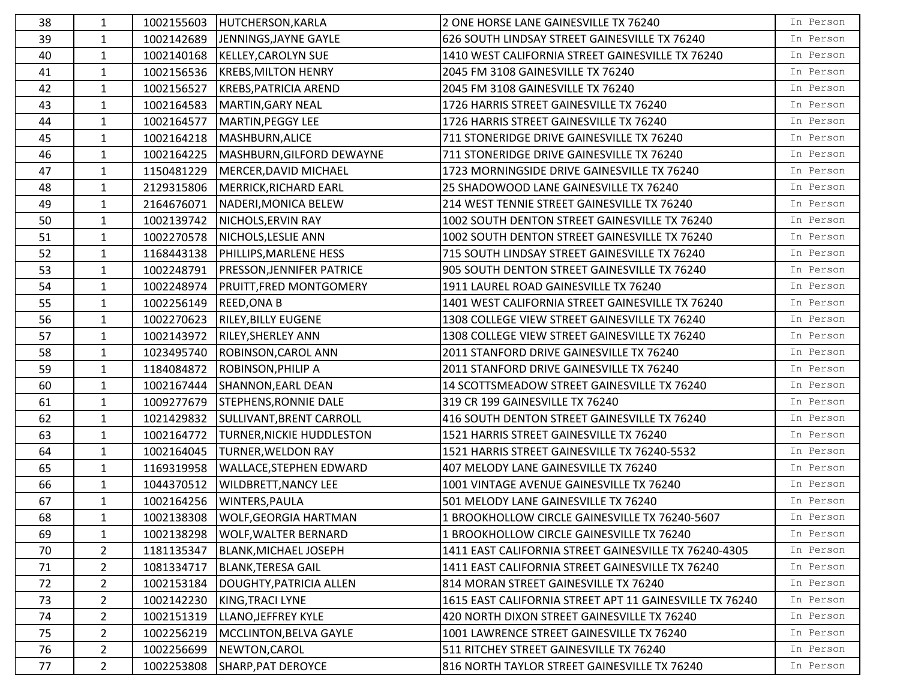| 38 | 1              |            | 1002155603 HUTCHERSON, KARLA     | 2 ONE HORSE LANE GAINESVILLE TX 76240                   | In Person |
|----|----------------|------------|----------------------------------|---------------------------------------------------------|-----------|
| 39 | $\mathbf{1}$   | 1002142689 | JENNINGS, JAYNE GAYLE            | 626 SOUTH LINDSAY STREET GAINESVILLE TX 76240           | In Person |
| 40 | $\mathbf{1}$   | 1002140168 | KELLEY, CAROLYN SUE              | 1410 WEST CALIFORNIA STREET GAINESVILLE TX 76240        | In Person |
| 41 | $\mathbf{1}$   | 1002156536 | <b>KREBS, MILTON HENRY</b>       | 2045 FM 3108 GAINESVILLE TX 76240                       | In Person |
| 42 | $\mathbf{1}$   | 1002156527 | KREBS, PATRICIA AREND            | 2045 FM 3108 GAINESVILLE TX 76240                       | In Person |
| 43 | 1              | 1002164583 | MARTIN, GARY NEAL                | 1726 HARRIS STREET GAINESVILLE TX 76240                 | In Person |
| 44 | 1              | 1002164577 | MARTIN, PEGGY LEE                | 1726 HARRIS STREET GAINESVILLE TX 76240                 | In Person |
| 45 | $\mathbf{1}$   | 1002164218 | MASHBURN, ALICE                  | 711 STONERIDGE DRIVE GAINESVILLE TX 76240               | In Person |
| 46 | $\mathbf{1}$   | 1002164225 | MASHBURN, GILFORD DEWAYNE        | 711 STONERIDGE DRIVE GAINESVILLE TX 76240               | In Person |
| 47 | $\mathbf{1}$   | 1150481229 | MERCER, DAVID MICHAEL            | 1723 MORNINGSIDE DRIVE GAINESVILLE TX 76240             | In Person |
| 48 | $\mathbf{1}$   | 2129315806 | MERRICK, RICHARD EARL            | 25 SHADOWOOD LANE GAINESVILLE TX 76240                  | In Person |
| 49 | 1              | 2164676071 | NADERI, MONICA BELEW             | 214 WEST TENNIE STREET GAINESVILLE TX 76240             | In Person |
| 50 | $\mathbf{1}$   | 1002139742 | NICHOLS, ERVIN RAY               | 1002 SOUTH DENTON STREET GAINESVILLE TX 76240           | In Person |
| 51 | $\mathbf{1}$   | 1002270578 | NICHOLS, LESLIE ANN              | 1002 SOUTH DENTON STREET GAINESVILLE TX 76240           | In Person |
| 52 | $\mathbf{1}$   | 1168443138 | <b>PHILLIPS, MARLENE HESS</b>    | 715 SOUTH LINDSAY STREET GAINESVILLE TX 76240           | In Person |
| 53 | $\mathbf{1}$   | 1002248791 | <b>PRESSON, JENNIFER PATRICE</b> | 905 SOUTH DENTON STREET GAINESVILLE TX 76240            | In Person |
| 54 | $\mathbf{1}$   | 1002248974 | <b>PRUITT, FRED MONTGOMERY</b>   | 1911 LAUREL ROAD GAINESVILLE TX 76240                   | In Person |
| 55 | 1              | 1002256149 | <b>REED, ONA B</b>               | 1401 WEST CALIFORNIA STREET GAINESVILLE TX 76240        | In Person |
| 56 | $\mathbf{1}$   | 1002270623 | <b>RILEY, BILLY EUGENE</b>       | 1308 COLLEGE VIEW STREET GAINESVILLE TX 76240           | In Person |
| 57 | 1              | 1002143972 | <b>RILEY, SHERLEY ANN</b>        | 1308 COLLEGE VIEW STREET GAINESVILLE TX 76240           | In Person |
| 58 | $\mathbf{1}$   | 1023495740 | ROBINSON, CAROL ANN              | 2011 STANFORD DRIVE GAINESVILLE TX 76240                | In Person |
| 59 | $\mathbf{1}$   | 1184084872 | <b>ROBINSON, PHILIP A</b>        | 2011 STANFORD DRIVE GAINESVILLE TX 76240                | In Person |
| 60 | $\mathbf{1}$   | 1002167444 | SHANNON, EARL DEAN               | 14 SCOTTSMEADOW STREET GAINESVILLE TX 76240             | In Person |
| 61 | $\mathbf{1}$   | 1009277679 | <b>STEPHENS, RONNIE DALE</b>     | 319 CR 199 GAINESVILLE TX 76240                         | In Person |
| 62 | 1              | 1021429832 | SULLIVANT, BRENT CARROLL         | 416 SOUTH DENTON STREET GAINESVILLE TX 76240            | In Person |
| 63 | $\mathbf{1}$   | 1002164772 | <b>TURNER, NICKIE HUDDLESTON</b> | 1521 HARRIS STREET GAINESVILLE TX 76240                 | In Person |
| 64 | $\mathbf{1}$   | 1002164045 | <b>TURNER, WELDON RAY</b>        | 1521 HARRIS STREET GAINESVILLE TX 76240-5532            | In Person |
| 65 | $\mathbf{1}$   | 1169319958 | <b>WALLACE, STEPHEN EDWARD</b>   | 407 MELODY LANE GAINESVILLE TX 76240                    | In Person |
| 66 | $\mathbf{1}$   | 1044370512 | <b>WILDBRETT, NANCY LEE</b>      | 1001 VINTAGE AVENUE GAINESVILLE TX 76240                | In Person |
| 67 | $\mathbf{1}$   | 1002164256 | WINTERS, PAULA                   | 501 MELODY LANE GAINESVILLE TX 76240                    | In Person |
| 68 | $\mathbf{1}$   |            | 1002138308 WOLF, GEORGIA HARTMAN | 1 BROOKHOLLOW CIRCLE GAINESVILLE TX 76240-5607          | In Person |
| 69 | 1              | 1002138298 | <b>WOLF, WALTER BERNARD</b>      | 1 BROOKHOLLOW CIRCLE GAINESVILLE TX 76240               | In Person |
| 70 | $\overline{2}$ | 1181135347 | BLANK, MICHAEL JOSEPH            | 1411 EAST CALIFORNIA STREET GAINESVILLE TX 76240-4305   | In Person |
| 71 | $\overline{2}$ | 1081334717 | BLANK, TERESA GAIL               | 1411 EAST CALIFORNIA STREET GAINESVILLE TX 76240        | In Person |
| 72 | $\overline{2}$ | 1002153184 | DOUGHTY, PATRICIA ALLEN          | 814 MORAN STREET GAINESVILLE TX 76240                   | In Person |
| 73 | $\overline{2}$ | 1002142230 | KING, TRACI LYNE                 | 1615 EAST CALIFORNIA STREET APT 11 GAINESVILLE TX 76240 | In Person |
| 74 | $\overline{2}$ | 1002151319 | LLANO, JEFFREY KYLE              | 420 NORTH DIXON STREET GAINESVILLE TX 76240             | In Person |
| 75 | $\overline{2}$ | 1002256219 | MCCLINTON, BELVA GAYLE           | 1001 LAWRENCE STREET GAINESVILLE TX 76240               | In Person |
| 76 | $\overline{2}$ | 1002256699 | NEWTON, CAROL                    | 511 RITCHEY STREET GAINESVILLE TX 76240                 | In Person |
| 77 | $\overline{2}$ | 1002253808 | SHARP, PAT DEROYCE               | 816 NORTH TAYLOR STREET GAINESVILLE TX 76240            | In Person |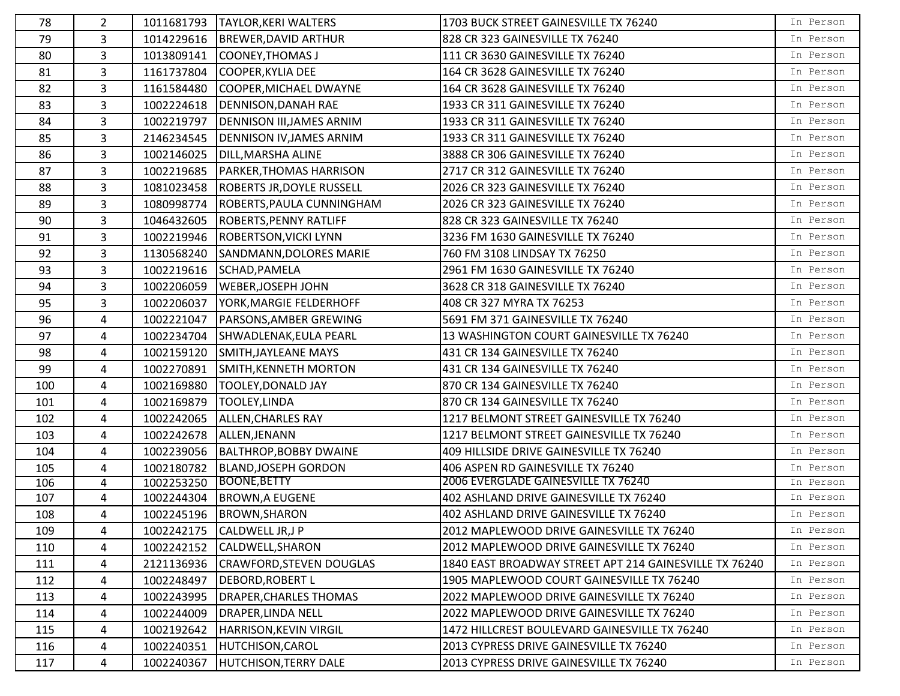| 78  | $\overline{2}$ |            | 1011681793   TAYLOR, KERI WALTERS     | 1703 BUCK STREET GAINESVILLE TX 76240                  | In Person |
|-----|----------------|------------|---------------------------------------|--------------------------------------------------------|-----------|
| 79  | 3              |            | 1014229616  BREWER, DAVID ARTHUR      | 828 CR 323 GAINESVILLE TX 76240                        | In Person |
| 80  | 3              | 1013809141 | COONEY, THOMAS J                      | 111 CR 3630 GAINESVILLE TX 76240                       | In Person |
| 81  | 3              | 1161737804 | COOPER, KYLIA DEE                     | 164 CR 3628 GAINESVILLE TX 76240                       | In Person |
| 82  | 3              | 1161584480 | COOPER, MICHAEL DWAYNE                | 164 CR 3628 GAINESVILLE TX 76240                       | In Person |
| 83  | 3              | 1002224618 | <b>DENNISON, DANAH RAE</b>            | 1933 CR 311 GAINESVILLE TX 76240                       | In Person |
| 84  | 3              | 1002219797 | <b>DENNISON III, JAMES ARNIM</b>      | 1933 CR 311 GAINESVILLE TX 76240                       | In Person |
| 85  | 3              | 2146234545 | <b>DENNISON IV, JAMES ARNIM</b>       | 1933 CR 311 GAINESVILLE TX 76240                       | In Person |
| 86  | 3              | 1002146025 | <b>DILL, MARSHA ALINE</b>             | 3888 CR 306 GAINESVILLE TX 76240                       | In Person |
| 87  | 3              | 1002219685 | <b>PARKER, THOMAS HARRISON</b>        | 2717 CR 312 GAINESVILLE TX 76240                       | In Person |
| 88  | 3              |            | 1081023458  ROBERTS JR, DOYLE RUSSELL | 2026 CR 323 GAINESVILLE TX 76240                       | In Person |
| 89  | 3              | 1080998774 | ROBERTS, PAULA CUNNINGHAM             | 2026 CR 323 GAINESVILLE TX 76240                       | In Person |
| 90  | 3              | 1046432605 | <b>ROBERTS, PENNY RATLIFF</b>         | 828 CR 323 GAINESVILLE TX 76240                        | In Person |
| 91  | 3              | 1002219946 | ROBERTSON, VICKI LYNN                 | 3236 FM 1630 GAINESVILLE TX 76240                      | In Person |
| 92  | 3              | 1130568240 | SANDMANN, DOLORES MARIE               | 760 FM 3108 LINDSAY TX 76250                           | In Person |
| 93  | 3              | 1002219616 | SCHAD, PAMELA                         | 2961 FM 1630 GAINESVILLE TX 76240                      | In Person |
| 94  | 3              | 1002206059 | <b>WEBER, JOSEPH JOHN</b>             | 3628 CR 318 GAINESVILLE TX 76240                       | In Person |
| 95  | 3              | 1002206037 | <b>YORK, MARGIE FELDERHOFF</b>        | 408 CR 327 MYRA TX 76253                               | In Person |
| 96  | 4              | 1002221047 | <b>PARSONS, AMBER GREWING</b>         | 5691 FM 371 GAINESVILLE TX 76240                       | In Person |
| 97  | 4              | 1002234704 | SHWADLENAK, EULA PEARL                | 13 WASHINGTON COURT GAINESVILLE TX 76240               | In Person |
| 98  | 4              | 1002159120 | SMITH, JAYLEANE MAYS                  | 431 CR 134 GAINESVILLE TX 76240                        | In Person |
| 99  | 4              | 1002270891 | <b>SMITH, KENNETH MORTON</b>          | 431 CR 134 GAINESVILLE TX 76240                        | In Person |
| 100 | 4              | 1002169880 | <b>TOOLEY, DONALD JAY</b>             | 870 CR 134 GAINESVILLE TX 76240                        | In Person |
| 101 | 4              | 1002169879 | TOOLEY, LINDA                         | 870 CR 134 GAINESVILLE TX 76240                        | In Person |
| 102 | 4              | 1002242065 | ALLEN, CHARLES RAY                    | 1217 BELMONT STREET GAINESVILLE TX 76240               | In Person |
| 103 | 4              | 1002242678 | ALLEN, JENANN                         | 1217 BELMONT STREET GAINESVILLE TX 76240               | In Person |
| 104 | 4              | 1002239056 | <b>BALTHROP, BOBBY DWAINE</b>         | 409 HILLSIDE DRIVE GAINESVILLE TX 76240                | In Person |
| 105 | 4              | 1002180782 | <b>BLAND, JOSEPH GORDON</b>           | 406 ASPEN RD GAINESVILLE TX 76240                      | In Person |
| 106 | 4              | 1002253250 | BOONE, BETTY                          | 2006 EVERGLADE GAINESVILLE TX 76240                    | In Person |
| 107 | 4              | 1002244304 | <b>BROWN, A EUGENE</b>                | 402 ASHLAND DRIVE GAINESVILLE TX 76240                 | In Person |
| 108 | 4              |            | 1002245196   BROWN, SHARON            | 402 ASHLAND DRIVE GAINESVILLE TX 76240                 | In Person |
| 109 | 4              | 1002242175 | CALDWELL JR, J P                      | 2012 MAPLEWOOD DRIVE GAINESVILLE TX 76240              | In Person |
| 110 | 4              | 1002242152 | CALDWELL, SHARON                      | 2012 MAPLEWOOD DRIVE GAINESVILLE TX 76240              | In Person |
| 111 | 4              | 2121136936 | <b>CRAWFORD, STEVEN DOUGLAS</b>       | 1840 EAST BROADWAY STREET APT 214 GAINESVILLE TX 76240 | In Person |
| 112 | 4              | 1002248497 | <b>DEBORD, ROBERT L</b>               | 1905 MAPLEWOOD COURT GAINESVILLE TX 76240              | In Person |
| 113 | 4              | 1002243995 | DRAPER, CHARLES THOMAS                | 2022 MAPLEWOOD DRIVE GAINESVILLE TX 76240              | In Person |
| 114 | 4              | 1002244009 | <b>DRAPER, LINDA NELL</b>             | 2022 MAPLEWOOD DRIVE GAINESVILLE TX 76240              | In Person |
| 115 | 4              | 1002192642 | <b>HARRISON, KEVIN VIRGIL</b>         | 1472 HILLCREST BOULEVARD GAINESVILLE TX 76240          | In Person |
| 116 | 4              | 1002240351 | HUTCHISON, CAROL                      | 2013 CYPRESS DRIVE GAINESVILLE TX 76240                | In Person |
| 117 | 4              | 1002240367 | <b>HUTCHISON, TERRY DALE</b>          | 2013 CYPRESS DRIVE GAINESVILLE TX 76240                | In Person |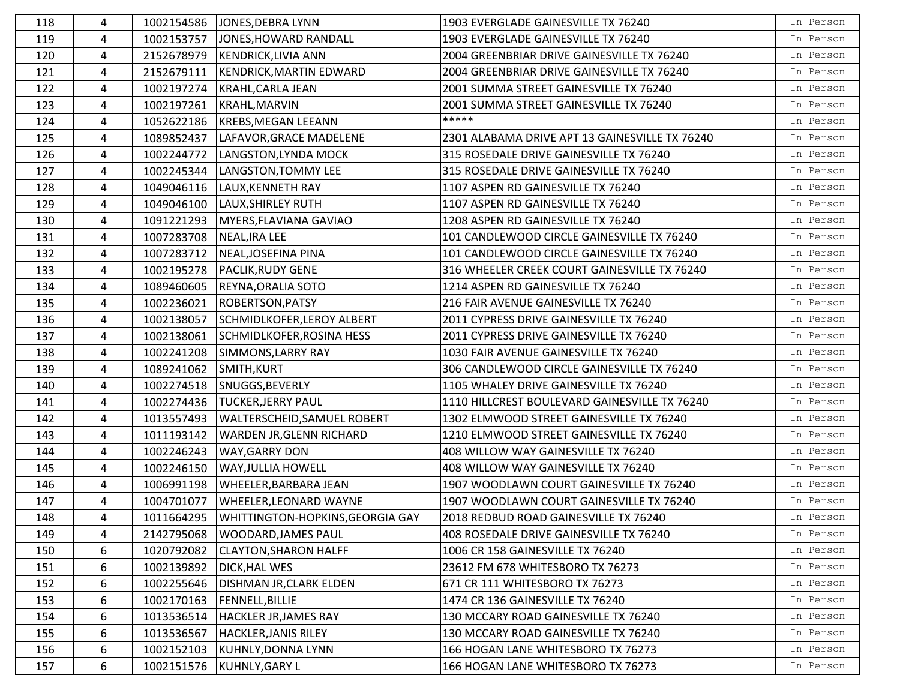| 118 | 4 | 1002154586 | JONES, DEBRA LYNN                             | 1903 EVERGLADE GAINESVILLE TX 76240            | In Person |
|-----|---|------------|-----------------------------------------------|------------------------------------------------|-----------|
| 119 | 4 | 1002153757 | JONES, HOWARD RANDALL                         | 1903 EVERGLADE GAINESVILLE TX 76240            | In Person |
| 120 | 4 | 2152678979 | <b>KENDRICK, LIVIA ANN</b>                    | 2004 GREENBRIAR DRIVE GAINESVILLE TX 76240     | In Person |
| 121 | 4 | 2152679111 | <b>KENDRICK, MARTIN EDWARD</b>                | 2004 GREENBRIAR DRIVE GAINESVILLE TX 76240     | In Person |
| 122 | 4 | 1002197274 | KRAHL, CARLA JEAN                             | 2001 SUMMA STREET GAINESVILLE TX 76240         | In Person |
| 123 | 4 | 1002197261 | KRAHL, MARVIN                                 | 2001 SUMMA STREET GAINESVILLE TX 76240         | In Person |
| 124 | 4 | 1052622186 | <b>KREBS, MEGAN LEEANN</b>                    | *****                                          | In Person |
| 125 | 4 | 1089852437 | LAFAVOR, GRACE MADELENE                       | 2301 ALABAMA DRIVE APT 13 GAINESVILLE TX 76240 | In Person |
| 126 | 4 | 1002244772 | LANGSTON, LYNDA MOCK                          | 315 ROSEDALE DRIVE GAINESVILLE TX 76240        | In Person |
| 127 | 4 | 1002245344 | LANGSTON, TOMMY LEE                           | 315 ROSEDALE DRIVE GAINESVILLE TX 76240        | In Person |
| 128 | 4 | 1049046116 | LAUX, KENNETH RAY                             | 1107 ASPEN RD GAINESVILLE TX 76240             | In Person |
| 129 | 4 | 1049046100 | LAUX, SHIRLEY RUTH                            | 1107 ASPEN RD GAINESVILLE TX 76240             | In Person |
| 130 | 4 | 1091221293 | MYERS, FLAVIANA GAVIAO                        | 1208 ASPEN RD GAINESVILLE TX 76240             | In Person |
| 131 | 4 | 1007283708 | NEAL, IRA LEE                                 | 101 CANDLEWOOD CIRCLE GAINESVILLE TX 76240     | In Person |
| 132 | 4 | 1007283712 | NEAL, JOSEFINA PINA                           | 101 CANDLEWOOD CIRCLE GAINESVILLE TX 76240     | In Person |
| 133 | 4 | 1002195278 | <b>PACLIK, RUDY GENE</b>                      | 316 WHEELER CREEK COURT GAINESVILLE TX 76240   | In Person |
| 134 | 4 | 1089460605 | REYNA, ORALIA SOTO                            | 1214 ASPEN RD GAINESVILLE TX 76240             | In Person |
| 135 | 4 | 1002236021 | <b>ROBERTSON, PATSY</b>                       | 216 FAIR AVENUE GAINESVILLE TX 76240           | In Person |
| 136 | 4 | 1002138057 | SCHMIDLKOFER, LEROY ALBERT                    | 2011 CYPRESS DRIVE GAINESVILLE TX 76240        | In Person |
| 137 | 4 | 1002138061 | SCHMIDLKOFER, ROSINA HESS                     | 2011 CYPRESS DRIVE GAINESVILLE TX 76240        | In Person |
| 138 | 4 | 1002241208 | SIMMONS, LARRY RAY                            | 1030 FAIR AVENUE GAINESVILLE TX 76240          | In Person |
| 139 | 4 | 1089241062 | SMITH, KURT                                   | 306 CANDLEWOOD CIRCLE GAINESVILLE TX 76240     | In Person |
| 140 | 4 | 1002274518 | SNUGGS, BEVERLY                               | 1105 WHALEY DRIVE GAINESVILLE TX 76240         | In Person |
| 141 | 4 |            | 1002274436  TUCKER, JERRY PAUL                | 1110 HILLCREST BOULEVARD GAINESVILLE TX 76240  | In Person |
| 142 | 4 | 1013557493 | <b>WALTERSCHEID, SAMUEL ROBERT</b>            | 1302 ELMWOOD STREET GAINESVILLE TX 76240       | In Person |
| 143 | 4 | 1011193142 | <b>WARDEN JR, GLENN RICHARD</b>               | 1210 ELMWOOD STREET GAINESVILLE TX 76240       | In Person |
| 144 | 4 | 1002246243 | <b>WAY, GARRY DON</b>                         | 408 WILLOW WAY GAINESVILLE TX 76240            | In Person |
| 145 | 4 | 1002246150 | <b>WAY, JULLIA HOWELL</b>                     | 408 WILLOW WAY GAINESVILLE TX 76240            | In Person |
| 146 | 4 | 1006991198 | <b>WHEELER, BARBARA JEAN</b>                  | 1907 WOODLAWN COURT GAINESVILLE TX 76240       | In Person |
| 147 | 4 | 1004701077 | <b>WHEELER, LEONARD WAYNE</b>                 | 1907 WOODLAWN COURT GAINESVILLE TX 76240       | In Person |
| 148 | 4 |            | 1011664295   WHITTINGTON-HOPKINS, GEORGIA GAY | 2018 REDBUD ROAD GAINESVILLE TX 76240          | In Person |
| 149 | 4 | 2142795068 | <b>WOODARD, JAMES PAUL</b>                    | 408 ROSEDALE DRIVE GAINESVILLE TX 76240        | In Person |
| 150 | 6 | 1020792082 | <b>CLAYTON, SHARON HALFF</b>                  | 1006 CR 158 GAINESVILLE TX 76240               | In Person |
| 151 | 6 | 1002139892 | <b>DICK, HAL WES</b>                          | 23612 FM 678 WHITESBORO TX 76273               | In Person |
| 152 | 6 | 1002255646 | <b>DISHMAN JR, CLARK ELDEN</b>                | 671 CR 111 WHITESBORO TX 76273                 | In Person |
| 153 | 6 | 1002170163 | <b>FENNELL, BILLIE</b>                        | 1474 CR 136 GAINESVILLE TX 76240               | In Person |
| 154 | 6 | 1013536514 | <b>HACKLER JR, JAMES RAY</b>                  | 130 MCCARY ROAD GAINESVILLE TX 76240           | In Person |
| 155 | 6 | 1013536567 | HACKLER, JANIS RILEY                          | 130 MCCARY ROAD GAINESVILLE TX 76240           | In Person |
| 156 | 6 | 1002152103 | KUHNLY, DONNA LYNN                            | 166 HOGAN LANE WHITESBORO TX 76273             | In Person |
| 157 | 6 | 1002151576 | KUHNLY, GARY L                                | 166 HOGAN LANE WHITESBORO TX 76273             | In Person |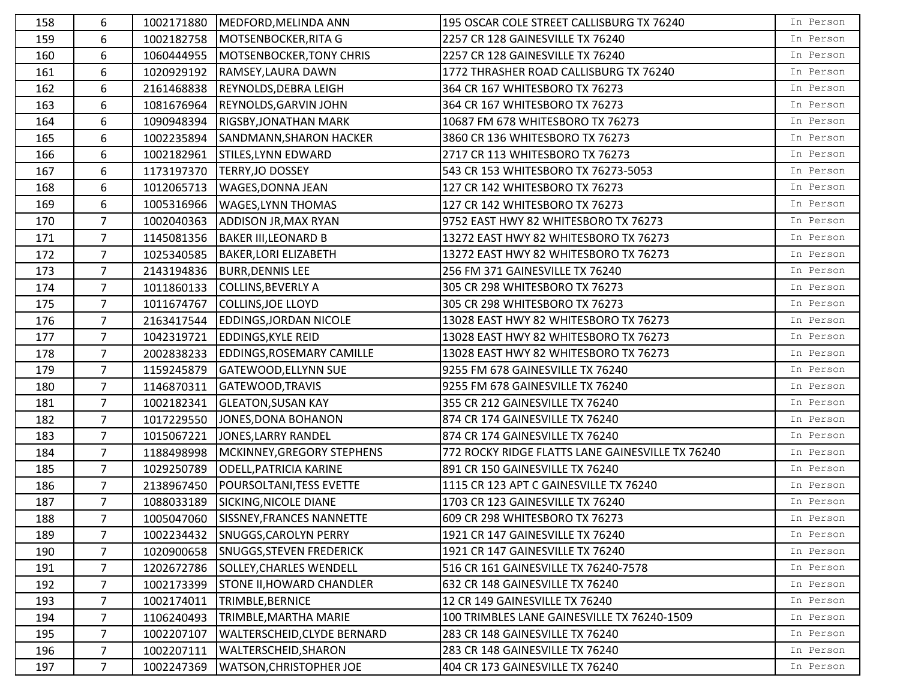| 158 | 6              |            | 1002171880   MEDFORD, MELINDA ANN    | 195 OSCAR COLE STREET CALLISBURG TX 76240        | In Person |
|-----|----------------|------------|--------------------------------------|--------------------------------------------------|-----------|
| 159 | 6              | 1002182758 | MOTSENBOCKER, RITA G                 | 2257 CR 128 GAINESVILLE TX 76240                 | In Person |
| 160 | 6              | 1060444955 | MOTSENBOCKER, TONY CHRIS             | 2257 CR 128 GAINESVILLE TX 76240                 | In Person |
| 161 | 6              | 1020929192 | RAMSEY, LAURA DAWN                   | 1772 THRASHER ROAD CALLISBURG TX 76240           | In Person |
| 162 | 6              | 2161468838 | <b>REYNOLDS, DEBRA LEIGH</b>         | 364 CR 167 WHITESBORO TX 76273                   | In Person |
| 163 | 6              | 1081676964 | <b>REYNOLDS, GARVIN JOHN</b>         | 364 CR 167 WHITESBORO TX 76273                   | In Person |
| 164 | 6              | 1090948394 | <b>RIGSBY, JONATHAN MARK</b>         | 10687 FM 678 WHITESBORO TX 76273                 | In Person |
| 165 | 6              | 1002235894 | <b>SANDMANN, SHARON HACKER</b>       | 3860 CR 136 WHITESBORO TX 76273                  | In Person |
| 166 | 6              | 1002182961 | <b>STILES, LYNN EDWARD</b>           | 2717 CR 113 WHITESBORO TX 76273                  | In Person |
| 167 | 6              | 1173197370 | <b>TERRY, JO DOSSEY</b>              | 543 CR 153 WHITESBORO TX 76273-5053              | In Person |
| 168 | 6              | 1012065713 | <b>WAGES, DONNA JEAN</b>             | 127 CR 142 WHITESBORO TX 76273                   | In Person |
| 169 | 6              | 1005316966 | <b>WAGES,LYNN THOMAS</b>             | 127 CR 142 WHITESBORO TX 76273                   | In Person |
| 170 | $\overline{7}$ | 1002040363 | <b>ADDISON JR, MAX RYAN</b>          | 9752 EAST HWY 82 WHITESBORO TX 76273             | In Person |
| 171 | $\overline{7}$ | 1145081356 | <b>BAKER III, LEONARD B</b>          | 13272 EAST HWY 82 WHITESBORO TX 76273            | In Person |
| 172 | $\overline{7}$ | 1025340585 | BAKER, LORI ELIZABETH                | 13272 EAST HWY 82 WHITESBORO TX 76273            | In Person |
| 173 | $\overline{7}$ | 2143194836 | <b>BURR, DENNIS LEE</b>              | 256 FM 371 GAINESVILLE TX 76240                  | In Person |
| 174 | $\overline{7}$ | 1011860133 | COLLINS, BEVERLY A                   | 305 CR 298 WHITESBORO TX 76273                   | In Person |
| 175 | $\overline{7}$ | 1011674767 | COLLINS, JOE LLOYD                   | 305 CR 298 WHITESBORO TX 76273                   | In Person |
| 176 | $\overline{7}$ | 2163417544 | <b>EDDINGS, JORDAN NICOLE</b>        | 13028 EAST HWY 82 WHITESBORO TX 76273            | In Person |
| 177 | $7^{\circ}$    | 1042319721 | <b>EDDINGS, KYLE REID</b>            | 13028 EAST HWY 82 WHITESBORO TX 76273            | In Person |
| 178 | $\overline{7}$ | 2002838233 | <b>EDDINGS, ROSEMARY CAMILLE</b>     | 13028 EAST HWY 82 WHITESBORO TX 76273            | In Person |
| 179 | $\overline{7}$ | 1159245879 | <b>GATEWOOD, ELLYNN SUE</b>          | 9255 FM 678 GAINESVILLE TX 76240                 | In Person |
| 180 | $\overline{7}$ | 1146870311 | GATEWOOD, TRAVIS                     | 9255 FM 678 GAINESVILLE TX 76240                 | In Person |
| 181 | $\overline{7}$ | 1002182341 | <b>GLEATON, SUSAN KAY</b>            | 355 CR 212 GAINESVILLE TX 76240                  | In Person |
| 182 | $7^{\circ}$    | 1017229550 | JONES, DONA BOHANON                  | 874 CR 174 GAINESVILLE TX 76240                  | In Person |
| 183 | $\overline{7}$ | 1015067221 | JONES, LARRY RANDEL                  | 874 CR 174 GAINESVILLE TX 76240                  | In Person |
| 184 | $\overline{7}$ | 1188498998 | MCKINNEY, GREGORY STEPHENS           | 772 ROCKY RIDGE FLATTS LANE GAINESVILLE TX 76240 | In Person |
| 185 | $\overline{7}$ | 1029250789 | <b>ODELL, PATRICIA KARINE</b>        | 891 CR 150 GAINESVILLE TX 76240                  | In Person |
| 186 | $\overline{7}$ | 2138967450 | <b>POURSOLTANI, TESS EVETTE</b>      | 1115 CR 123 APT C GAINESVILLE TX 76240           | In Person |
| 187 | $\overline{7}$ | 1088033189 | SICKING, NICOLE DIANE                | 1703 CR 123 GAINESVILLE TX 76240                 | In Person |
| 188 | $\overline{7}$ |            | 1005047060 SISSNEY, FRANCES NANNETTE | 609 CR 298 WHITESBORO TX 76273                   | In Person |
| 189 | $\overline{7}$ | 1002234432 | <b>SNUGGS, CAROLYN PERRY</b>         | 1921 CR 147 GAINESVILLE TX 76240                 | In Person |
| 190 | $\overline{7}$ | 1020900658 | <b>SNUGGS, STEVEN FREDERICK</b>      | 1921 CR 147 GAINESVILLE TX 76240                 | In Person |
| 191 | 7              | 1202672786 | SOLLEY, CHARLES WENDELL              | 516 CR 161 GAINESVILLE TX 76240-7578             | In Person |
| 192 | $\overline{7}$ | 1002173399 | <b>STONE II, HOWARD CHANDLER</b>     | 632 CR 148 GAINESVILLE TX 76240                  | In Person |
| 193 | $\overline{7}$ | 1002174011 | TRIMBLE, BERNICE                     | 12 CR 149 GAINESVILLE TX 76240                   | In Person |
| 194 | $\overline{7}$ | 1106240493 | TRIMBLE, MARTHA MARIE                | 100 TRIMBLES LANE GAINESVILLE TX 76240-1509      | In Person |
| 195 | $\overline{7}$ | 1002207107 | <b>WALTERSCHEID, CLYDE BERNARD</b>   | 283 CR 148 GAINESVILLE TX 76240                  | In Person |
| 196 | 7              | 1002207111 | <b>WALTERSCHEID, SHARON</b>          | 283 CR 148 GAINESVILLE TX 76240                  | In Person |
| 197 | $\overline{7}$ | 1002247369 | <b>WATSON, CHRISTOPHER JOE</b>       | 404 CR 173 GAINESVILLE TX 76240                  | In Person |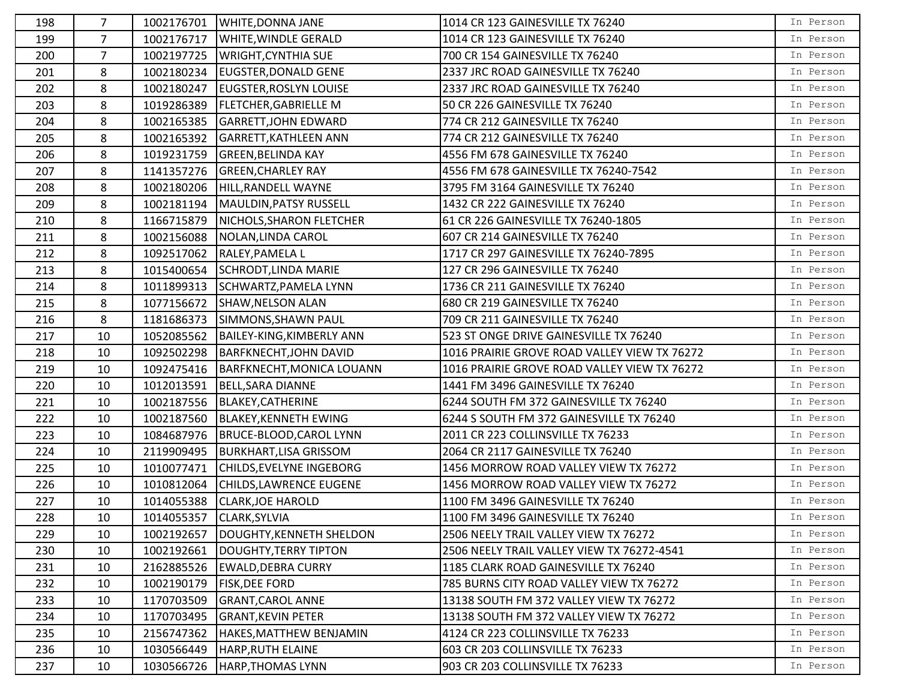| 198 | 7              | 1002176701 | <b>WHITE, DONNA JANE</b>       | 1014 CR 123 GAINESVILLE TX 76240             | In Person |
|-----|----------------|------------|--------------------------------|----------------------------------------------|-----------|
| 199 | $\overline{7}$ | 1002176717 | <b>WHITE, WINDLE GERALD</b>    | 1014 CR 123 GAINESVILLE TX 76240             | In Person |
| 200 | $\overline{7}$ | 1002197725 | <b>WRIGHT, CYNTHIA SUE</b>     | 700 CR 154 GAINESVILLE TX 76240              | In Person |
| 201 | 8              | 1002180234 | <b>EUGSTER, DONALD GENE</b>    | 2337 JRC ROAD GAINESVILLE TX 76240           | In Person |
| 202 | 8              | 1002180247 | <b>EUGSTER, ROSLYN LOUISE</b>  | 2337 JRC ROAD GAINESVILLE TX 76240           | In Person |
| 203 | 8              | 1019286389 | <b>FLETCHER, GABRIELLE M</b>   | 50 CR 226 GAINESVILLE TX 76240               | In Person |
| 204 | 8              | 1002165385 | <b>GARRETT, JOHN EDWARD</b>    | 774 CR 212 GAINESVILLE TX 76240              | In Person |
| 205 | 8              | 1002165392 | <b>GARRETT, KATHLEEN ANN</b>   | 774 CR 212 GAINESVILLE TX 76240              | In Person |
| 206 | 8              | 1019231759 | <b>GREEN, BELINDA KAY</b>      | 4556 FM 678 GAINESVILLE TX 76240             | In Person |
| 207 | 8              | 1141357276 | <b>GREEN, CHARLEY RAY</b>      | 4556 FM 678 GAINESVILLE TX 76240-7542        | In Person |
| 208 | 8              | 1002180206 | HILL, RANDELL WAYNE            | 3795 FM 3164 GAINESVILLE TX 76240            | In Person |
| 209 | 8              | 1002181194 | MAULDIN, PATSY RUSSELL         | 1432 CR 222 GAINESVILLE TX 76240             | In Person |
| 210 | 8              | 1166715879 | NICHOLS, SHARON FLETCHER       | 61 CR 226 GAINESVILLE TX 76240-1805          | In Person |
| 211 | 8              | 1002156088 | NOLAN, LINDA CAROL             | 607 CR 214 GAINESVILLE TX 76240              | In Person |
| 212 | 8              | 1092517062 | RALEY, PAMELA L                | 1717 CR 297 GAINESVILLE TX 76240-7895        | In Person |
| 213 | 8              | 1015400654 | SCHRODT, LINDA MARIE           | 127 CR 296 GAINESVILLE TX 76240              | In Person |
| 214 | 8              | 1011899313 | SCHWARTZ, PAMELA LYNN          | 1736 CR 211 GAINESVILLE TX 76240             | In Person |
| 215 | 8              | 1077156672 | SHAW, NELSON ALAN              | 680 CR 219 GAINESVILLE TX 76240              | In Person |
| 216 | 8              | 1181686373 | SIMMONS, SHAWN PAUL            | 709 CR 211 GAINESVILLE TX 76240              | In Person |
| 217 | 10             | 1052085562 | BAILEY-KING, KIMBERLY ANN      | 523 ST ONGE DRIVE GAINESVILLE TX 76240       | In Person |
| 218 | 10             | 1092502298 | <b>BARFKNECHT, JOHN DAVID</b>  | 1016 PRAIRIE GROVE ROAD VALLEY VIEW TX 76272 | In Person |
| 219 | 10             | 1092475416 | BARFKNECHT, MONICA LOUANN      | 1016 PRAIRIE GROVE ROAD VALLEY VIEW TX 76272 | In Person |
| 220 | 10             | 1012013591 | <b>BELL, SARA DIANNE</b>       | 1441 FM 3496 GAINESVILLE TX 76240            | In Person |
| 221 | 10             | 1002187556 | <b>BLAKEY, CATHERINE</b>       | 6244 SOUTH FM 372 GAINESVILLE TX 76240       | In Person |
| 222 | 10             | 1002187560 | <b>BLAKEY, KENNETH EWING</b>   | 6244 S SOUTH FM 372 GAINESVILLE TX 76240     | In Person |
| 223 | 10             | 1084687976 | <b>BRUCE-BLOOD, CAROL LYNN</b> | 2011 CR 223 COLLINSVILLE TX 76233            | In Person |
| 224 | 10             | 2119909495 | <b>BURKHART, LISA GRISSOM</b>  | 2064 CR 2117 GAINESVILLE TX 76240            | In Person |
| 225 | 10             | 1010077471 | CHILDS, EVELYNE INGEBORG       | 1456 MORROW ROAD VALLEY VIEW TX 76272        | In Person |
| 226 | 10             | 1010812064 | CHILDS, LAWRENCE EUGENE        | 1456 MORROW ROAD VALLEY VIEW TX 76272        | In Person |
| 227 | 10             | 1014055388 | <b>CLARK, JOE HAROLD</b>       | 1100 FM 3496 GAINESVILLE TX 76240            | In Person |
| 228 | 10             | 1014055357 | <b>CLARK, SYLVIA</b>           | 1100 FM 3496 GAINESVILLE TX 76240            | In Person |
| 229 | 10             | 1002192657 | DOUGHTY, KENNETH SHELDON       | 2506 NEELY TRAIL VALLEY VIEW TX 76272        | In Person |
| 230 | 10             | 1002192661 | DOUGHTY, TERRY TIPTON          | 2506 NEELY TRAIL VALLEY VIEW TX 76272-4541   | In Person |
| 231 | 10             | 2162885526 | <b>EWALD, DEBRA CURRY</b>      | 1185 CLARK ROAD GAINESVILLE TX 76240         | In Person |
| 232 | 10             | 1002190179 | <b>FISK, DEE FORD</b>          | 785 BURNS CITY ROAD VALLEY VIEW TX 76272     | In Person |
| 233 | 10             | 1170703509 | <b>GRANT, CAROL ANNE</b>       | 13138 SOUTH FM 372 VALLEY VIEW TX 76272      | In Person |
| 234 | 10             | 1170703495 | <b>GRANT, KEVIN PETER</b>      | 13138 SOUTH FM 372 VALLEY VIEW TX 76272      | In Person |
| 235 | 10             | 2156747362 | HAKES, MATTHEW BENJAMIN        | 4124 CR 223 COLLINSVILLE TX 76233            | In Person |
| 236 | 10             | 1030566449 | HARP, RUTH ELAINE              | 603 CR 203 COLLINSVILLE TX 76233             | In Person |
| 237 | 10             | 1030566726 | <b>HARP, THOMAS LYNN</b>       | 903 CR 203 COLLINSVILLE TX 76233             | In Person |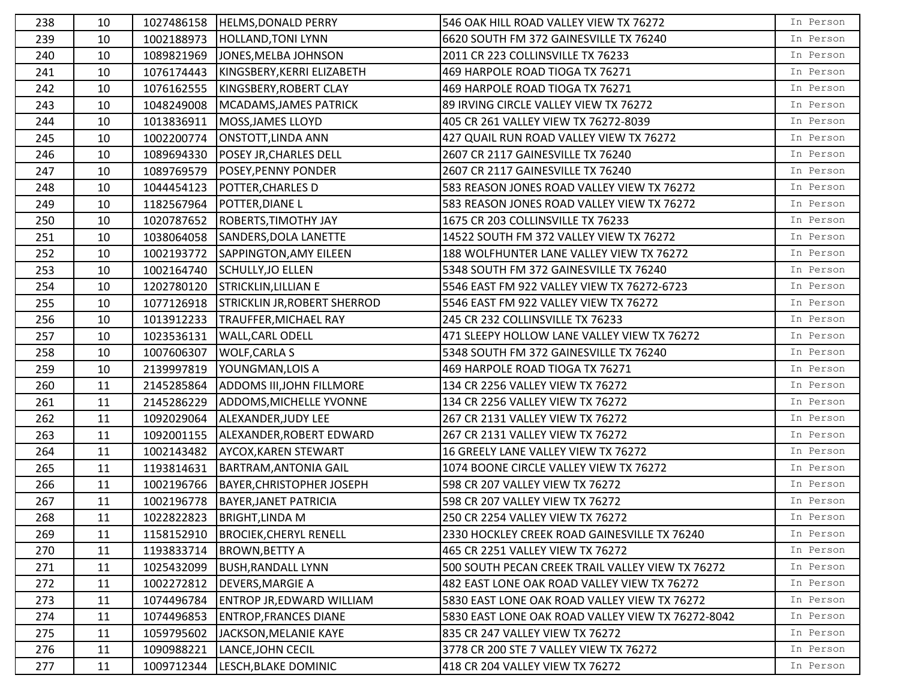| 238 | 10 |            | 1027486158  HELMS, DONALD PERRY     | 546 OAK HILL ROAD VALLEY VIEW TX 76272            | In Person |
|-----|----|------------|-------------------------------------|---------------------------------------------------|-----------|
| 239 | 10 |            | 1002188973 HOLLAND, TONI LYNN       | 6620 SOUTH FM 372 GAINESVILLE TX 76240            | In Person |
| 240 | 10 | 1089821969 | JONES, MELBA JOHNSON                | 2011 CR 223 COLLINSVILLE TX 76233                 | In Person |
| 241 | 10 | 1076174443 | KINGSBERY, KERRI ELIZABETH          | 469 HARPOLE ROAD TIOGA TX 76271                   | In Person |
| 242 | 10 | 1076162555 | KINGSBERY, ROBERT CLAY              | 469 HARPOLE ROAD TIOGA TX 76271                   | In Person |
| 243 | 10 | 1048249008 | MCADAMS, JAMES PATRICK              | 89 IRVING CIRCLE VALLEY VIEW TX 76272             | In Person |
| 244 | 10 | 1013836911 | MOSS, JAMES LLOYD                   | 405 CR 261 VALLEY VIEW TX 76272-8039              | In Person |
| 245 | 10 | 1002200774 | ONSTOTT, LINDA ANN                  | 427 QUAIL RUN ROAD VALLEY VIEW TX 76272           | In Person |
| 246 | 10 | 1089694330 | <b>POSEY JR, CHARLES DELL</b>       | 2607 CR 2117 GAINESVILLE TX 76240                 | In Person |
| 247 | 10 | 1089769579 | <b>POSEY, PENNY PONDER</b>          | 2607 CR 2117 GAINESVILLE TX 76240                 | In Person |
| 248 | 10 | 1044454123 | <b>POTTER, CHARLES D</b>            | 583 REASON JONES ROAD VALLEY VIEW TX 76272        | In Person |
| 249 | 10 |            | 1182567964 POTTER, DIANE L          | 583 REASON JONES ROAD VALLEY VIEW TX 76272        | In Person |
| 250 | 10 | 1020787652 | <b>ROBERTS, TIMOTHY JAY</b>         | 1675 CR 203 COLLINSVILLE TX 76233                 | In Person |
| 251 | 10 | 1038064058 | SANDERS, DOLA LANETTE               | 14522 SOUTH FM 372 VALLEY VIEW TX 76272           | In Person |
| 252 | 10 | 1002193772 | SAPPINGTON, AMY EILEEN              | 188 WOLFHUNTER LANE VALLEY VIEW TX 76272          | In Person |
| 253 | 10 | 1002164740 | SCHULLY, JO ELLEN                   | 5348 SOUTH FM 372 GAINESVILLE TX 76240            | In Person |
| 254 | 10 | 1202780120 | <b>STRICKLIN, LILLIAN E</b>         | 5546 EAST FM 922 VALLEY VIEW TX 76272-6723        | In Person |
| 255 | 10 | 1077126918 | <b>STRICKLIN JR, ROBERT SHERROD</b> | 5546 EAST FM 922 VALLEY VIEW TX 76272             | In Person |
| 256 | 10 | 1013912233 | <b>TRAUFFER, MICHAEL RAY</b>        | 245 CR 232 COLLINSVILLE TX 76233                  | In Person |
| 257 | 10 | 1023536131 | <b>WALL, CARL ODELL</b>             | 471 SLEEPY HOLLOW LANE VALLEY VIEW TX 76272       | In Person |
| 258 | 10 | 1007606307 | <b>WOLF, CARLA S</b>                | 5348 SOUTH FM 372 GAINESVILLE TX 76240            | In Person |
| 259 | 10 | 2139997819 | YOUNGMAN, LOIS A                    | 469 HARPOLE ROAD TIOGA TX 76271                   | In Person |
| 260 | 11 | 2145285864 | ADDOMS III, JOHN FILLMORE           | 134 CR 2256 VALLEY VIEW TX 76272                  | In Person |
| 261 | 11 | 2145286229 | ADDOMS, MICHELLE YVONNE             | 134 CR 2256 VALLEY VIEW TX 76272                  | In Person |
| 262 | 11 |            | 1092029064 ALEXANDER, JUDY LEE      | 267 CR 2131 VALLEY VIEW TX 76272                  | In Person |
| 263 | 11 | 1092001155 | ALEXANDER, ROBERT EDWARD            | 267 CR 2131 VALLEY VIEW TX 76272                  | In Person |
| 264 | 11 | 1002143482 | <b>AYCOX, KAREN STEWART</b>         | 16 GREELY LANE VALLEY VIEW TX 76272               | In Person |
| 265 | 11 | 1193814631 | <b>BARTRAM, ANTONIA GAIL</b>        | 1074 BOONE CIRCLE VALLEY VIEW TX 76272            | In Person |
| 266 | 11 | 1002196766 | BAYER, CHRISTOPHER JOSEPH           | 598 CR 207 VALLEY VIEW TX 76272                   | In Person |
| 267 | 11 | 1002196778 | BAYER, JANET PATRICIA               | 598 CR 207 VALLEY VIEW TX 76272                   | In Person |
| 268 | 11 |            | 1022822823 BRIGHT, LINDA M          | 250 CR 2254 VALLEY VIEW TX 76272                  | In Person |
| 269 | 11 | 1158152910 | <b>BROCIEK, CHERYL RENELL</b>       | 2330 HOCKLEY CREEK ROAD GAINESVILLE TX 76240      | In Person |
| 270 | 11 |            | 1193833714   BROWN, BETTY A         | 465 CR 2251 VALLEY VIEW TX 76272                  | In Person |
| 271 | 11 | 1025432099 | <b>BUSH, RANDALL LYNN</b>           | 500 SOUTH PECAN CREEK TRAIL VALLEY VIEW TX 76272  | In Person |
| 272 | 11 | 1002272812 | <b>DEVERS, MARGIE A</b>             | 482 EAST LONE OAK ROAD VALLEY VIEW TX 76272       | In Person |
| 273 | 11 | 1074496784 | <b>ENTROP JR, EDWARD WILLIAM</b>    | 5830 EAST LONE OAK ROAD VALLEY VIEW TX 76272      | In Person |
| 274 | 11 | 1074496853 | <b>ENTROP, FRANCES DIANE</b>        | 5830 EAST LONE OAK ROAD VALLEY VIEW TX 76272-8042 | In Person |
| 275 | 11 | 1059795602 | JACKSON, MELANIE KAYE               | 835 CR 247 VALLEY VIEW TX 76272                   | In Person |
| 276 | 11 | 1090988221 | LANCE, JOHN CECIL                   | 3778 CR 200 STE 7 VALLEY VIEW TX 76272            | In Person |
| 277 | 11 | 1009712344 | LESCH, BLAKE DOMINIC                | 418 CR 204 VALLEY VIEW TX 76272                   | In Person |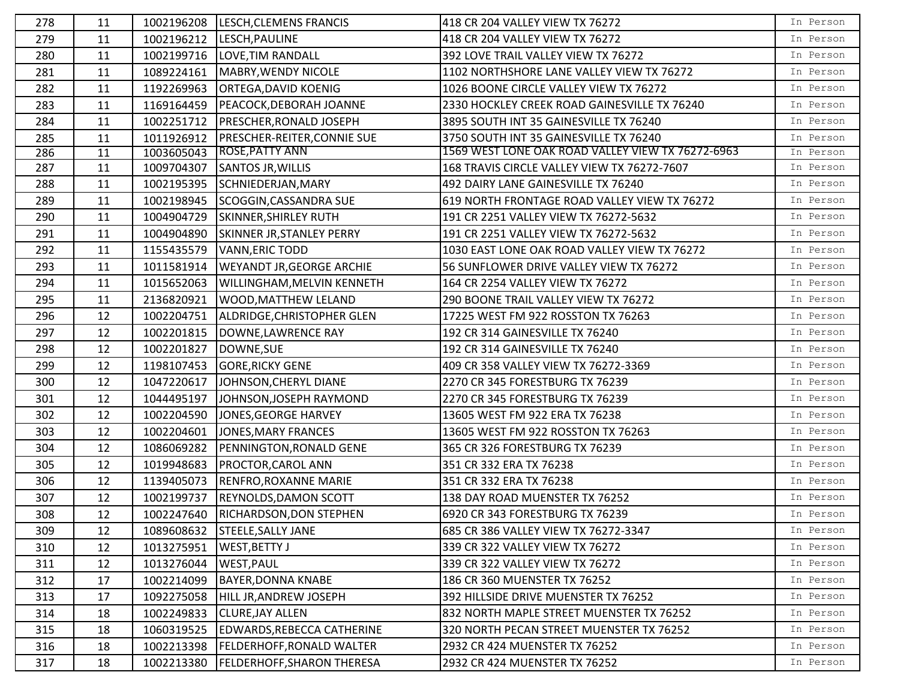| 278 | 11 |            | 1002196208  LESCH, CLEMENS FRANCIS | 418 CR 204 VALLEY VIEW TX 76272                   | In Person |
|-----|----|------------|------------------------------------|---------------------------------------------------|-----------|
| 279 | 11 | 1002196212 | LESCH, PAULINE                     | 418 CR 204 VALLEY VIEW TX 76272                   | In Person |
| 280 | 11 | 1002199716 | LOVE, TIM RANDALL                  | 392 LOVE TRAIL VALLEY VIEW TX 76272               | In Person |
| 281 | 11 | 1089224161 | MABRY, WENDY NICOLE                | 1102 NORTHSHORE LANE VALLEY VIEW TX 76272         | In Person |
| 282 | 11 | 1192269963 | <b>ORTEGA, DAVID KOENIG</b>        | 1026 BOONE CIRCLE VALLEY VIEW TX 76272            | In Person |
| 283 | 11 | 1169164459 | PEACOCK, DEBORAH JOANNE            | 2330 HOCKLEY CREEK ROAD GAINESVILLE TX 76240      | In Person |
| 284 | 11 | 1002251712 | PRESCHER, RONALD JOSEPH            | 3895 SOUTH INT 35 GAINESVILLE TX 76240            | In Person |
| 285 | 11 | 1011926912 | <b>PRESCHER-REITER, CONNIE SUE</b> | 3750 SOUTH INT 35 GAINESVILLE TX 76240            | In Person |
| 286 | 11 | 1003605043 | <b>ROSE, PATTY ANN</b>             | 1569 WEST LONE OAK ROAD VALLEY VIEW TX 76272-6963 | In Person |
| 287 | 11 | 1009704307 | <b>SANTOS JR, WILLIS</b>           | 168 TRAVIS CIRCLE VALLEY VIEW TX 76272-7607       | In Person |
| 288 | 11 | 1002195395 | SCHNIEDERJAN, MARY                 | 492 DAIRY LANE GAINESVILLE TX 76240               | In Person |
| 289 | 11 | 1002198945 | SCOGGIN, CASSANDRA SUE             | 619 NORTH FRONTAGE ROAD VALLEY VIEW TX 76272      | In Person |
| 290 | 11 | 1004904729 | SKINNER, SHIRLEY RUTH              | 191 CR 2251 VALLEY VIEW TX 76272-5632             | In Person |
| 291 | 11 | 1004904890 | SKINNER JR, STANLEY PERRY          | 191 CR 2251 VALLEY VIEW TX 76272-5632             | In Person |
| 292 | 11 | 1155435579 | <b>VANN, ERIC TODD</b>             | 1030 EAST LONE OAK ROAD VALLEY VIEW TX 76272      | In Person |
| 293 | 11 | 1011581914 | <b>WEYANDT JR, GEORGE ARCHIE</b>   | 56 SUNFLOWER DRIVE VALLEY VIEW TX 76272           | In Person |
| 294 | 11 | 1015652063 | WILLINGHAM, MELVIN KENNETH         | 164 CR 2254 VALLEY VIEW TX 76272                  | In Person |
| 295 | 11 | 2136820921 | <b>WOOD, MATTHEW LELAND</b>        | 290 BOONE TRAIL VALLEY VIEW TX 76272              | In Person |
| 296 | 12 | 1002204751 | ALDRIDGE, CHRISTOPHER GLEN         | 17225 WEST FM 922 ROSSTON TX 76263                | In Person |
| 297 | 12 | 1002201815 | DOWNE, LAWRENCE RAY                | 192 CR 314 GAINESVILLE TX 76240                   | In Person |
| 298 | 12 | 1002201827 | DOWNE, SUE                         | 192 CR 314 GAINESVILLE TX 76240                   | In Person |
| 299 | 12 | 1198107453 | <b>GORE, RICKY GENE</b>            | 409 CR 358 VALLEY VIEW TX 76272-3369              | In Person |
| 300 | 12 | 1047220617 | JOHNSON, CHERYL DIANE              | 2270 CR 345 FORESTBURG TX 76239                   | In Person |
| 301 | 12 | 1044495197 | JOHNSON, JOSEPH RAYMOND            | 2270 CR 345 FORESTBURG TX 76239                   | In Person |
| 302 | 12 | 1002204590 | JONES, GEORGE HARVEY               | 13605 WEST FM 922 ERA TX 76238                    | In Person |
| 303 | 12 | 1002204601 | JONES, MARY FRANCES                | 13605 WEST FM 922 ROSSTON TX 76263                | In Person |
| 304 | 12 | 1086069282 | PENNINGTON, RONALD GENE            | 365 CR 326 FORESTBURG TX 76239                    | In Person |
| 305 | 12 | 1019948683 | <b>PROCTOR, CAROL ANN</b>          | 351 CR 332 ERA TX 76238                           | In Person |
| 306 | 12 | 1139405073 | <b>RENFRO, ROXANNE MARIE</b>       | 351 CR 332 ERA TX 76238                           | In Person |
| 307 | 12 | 1002199737 | <b>REYNOLDS, DAMON SCOTT</b>       | 138 DAY ROAD MUENSTER TX 76252                    | In Person |
| 308 | 12 | 1002247640 | RICHARDSON, DON STEPHEN            | 6920 CR 343 FORESTBURG TX 76239                   | In Person |
| 309 | 12 | 1089608632 | <b>STEELE, SALLY JANE</b>          | 685 CR 386 VALLEY VIEW TX 76272-3347              | In Person |
| 310 | 12 | 1013275951 | <b>WEST, BETTY J</b>               | 339 CR 322 VALLEY VIEW TX 76272                   | In Person |
| 311 | 12 | 1013276044 | <b>WEST, PAUL</b>                  | 339 CR 322 VALLEY VIEW TX 76272                   | In Person |
| 312 | 17 | 1002214099 | <b>BAYER, DONNA KNABE</b>          | 186 CR 360 MUENSTER TX 76252                      | In Person |
| 313 | 17 | 1092275058 | HILL JR, ANDREW JOSEPH             | 392 HILLSIDE DRIVE MUENSTER TX 76252              | In Person |
| 314 | 18 | 1002249833 | <b>CLURE, JAY ALLEN</b>            | 832 NORTH MAPLE STREET MUENSTER TX 76252          | In Person |
| 315 | 18 | 1060319525 | EDWARDS, REBECCA CATHERINE         | 320 NORTH PECAN STREET MUENSTER TX 76252          | In Person |
| 316 | 18 | 1002213398 | <b>FELDERHOFF, RONALD WALTER</b>   | 2932 CR 424 MUENSTER TX 76252                     | In Person |
| 317 | 18 | 1002213380 | <b>FELDERHOFF, SHARON THERESA</b>  | 2932 CR 424 MUENSTER TX 76252                     | In Person |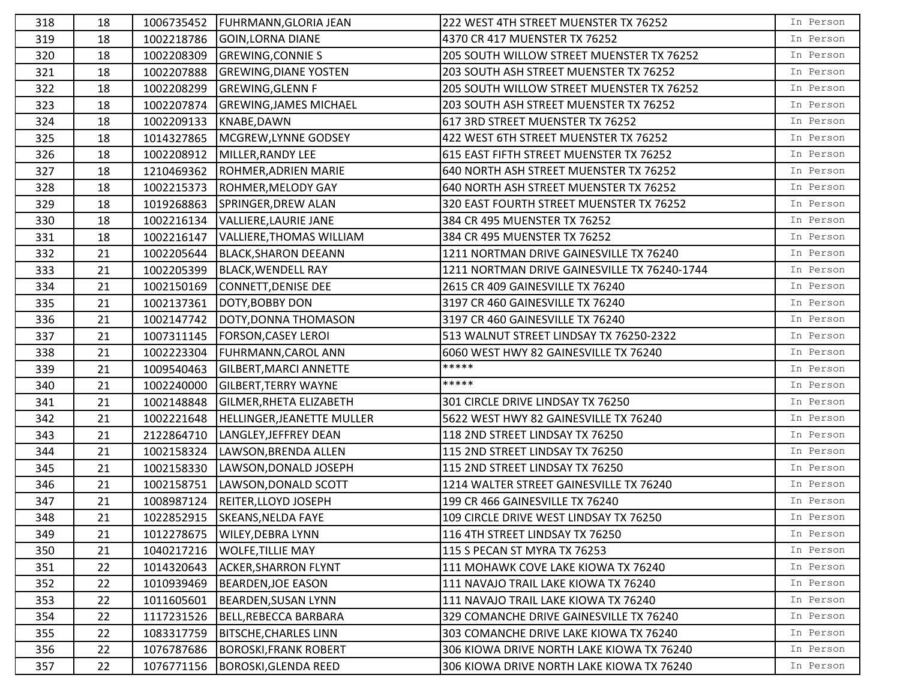| 318 | 18 |            | 1006735452   FUHRMANN, GLORIA JEAN | 222 WEST 4TH STREET MUENSTER TX 76252        | In Person |
|-----|----|------------|------------------------------------|----------------------------------------------|-----------|
| 319 | 18 | 1002218786 | GOIN, LORNA DIANE                  | 4370 CR 417 MUENSTER TX 76252                | In Person |
| 320 | 18 | 1002208309 | <b>GREWING, CONNIE S</b>           | 205 SOUTH WILLOW STREET MUENSTER TX 76252    | In Person |
| 321 | 18 | 1002207888 | <b>GREWING, DIANE YOSTEN</b>       | 203 SOUTH ASH STREET MUENSTER TX 76252       | In Person |
| 322 | 18 | 1002208299 | <b>GREWING, GLENN F</b>            | 205 SOUTH WILLOW STREET MUENSTER TX 76252    | In Person |
| 323 | 18 | 1002207874 | <b>GREWING, JAMES MICHAEL</b>      | 203 SOUTH ASH STREET MUENSTER TX 76252       | In Person |
| 324 | 18 | 1002209133 | KNABE, DAWN                        | 617 3RD STREET MUENSTER TX 76252             | In Person |
| 325 | 18 | 1014327865 | MCGREW, LYNNE GODSEY               | 422 WEST 6TH STREET MUENSTER TX 76252        | In Person |
| 326 | 18 | 1002208912 | MILLER, RANDY LEE                  | 615 EAST FIFTH STREET MUENSTER TX 76252      | In Person |
| 327 | 18 | 1210469362 | ROHMER, ADRIEN MARIE               | 640 NORTH ASH STREET MUENSTER TX 76252       | In Person |
| 328 | 18 | 1002215373 | ROHMER, MELODY GAY                 | 640 NORTH ASH STREET MUENSTER TX 76252       | In Person |
| 329 | 18 | 1019268863 | SPRINGER, DREW ALAN                | 320 EAST FOURTH STREET MUENSTER TX 76252     | In Person |
| 330 | 18 | 1002216134 | VALLIERE, LAURIE JANE              | 384 CR 495 MUENSTER TX 76252                 | In Person |
| 331 | 18 | 1002216147 | <b>VALLIERE, THOMAS WILLIAM</b>    | 384 CR 495 MUENSTER TX 76252                 | In Person |
| 332 | 21 | 1002205644 | <b>BLACK, SHARON DEEANN</b>        | 1211 NORTMAN DRIVE GAINESVILLE TX 76240      | In Person |
| 333 | 21 | 1002205399 | BLACK, WENDELL RAY                 | 1211 NORTMAN DRIVE GAINESVILLE TX 76240-1744 | In Person |
| 334 | 21 | 1002150169 | CONNETT, DENISE DEE                | 2615 CR 409 GAINESVILLE TX 76240             | In Person |
| 335 | 21 | 1002137361 | DOTY, BOBBY DON                    | 3197 CR 460 GAINESVILLE TX 76240             | In Person |
| 336 | 21 | 1002147742 | DOTY, DONNA THOMASON               | 3197 CR 460 GAINESVILLE TX 76240             | In Person |
| 337 | 21 | 1007311145 | <b>FORSON, CASEY LEROI</b>         | 513 WALNUT STREET LINDSAY TX 76250-2322      | In Person |
| 338 | 21 | 1002223304 | <b>FUHRMANN, CAROL ANN</b>         | 6060 WEST HWY 82 GAINESVILLE TX 76240        | In Person |
| 339 | 21 | 1009540463 | <b>GILBERT, MARCI ANNETTE</b>      | *****                                        | In Person |
| 340 | 21 | 1002240000 | <b>GILBERT, TERRY WAYNE</b>        | *****                                        | In Person |
| 341 | 21 | 1002148848 | <b>GILMER, RHETA ELIZABETH</b>     | 301 CIRCLE DRIVE LINDSAY TX 76250            | In Person |
| 342 | 21 | 1002221648 | <b>HELLINGER, JEANETTE MULLER</b>  | 5622 WEST HWY 82 GAINESVILLE TX 76240        | In Person |
| 343 | 21 | 2122864710 | LANGLEY, JEFFREY DEAN              | 118 2ND STREET LINDSAY TX 76250              | In Person |
| 344 | 21 | 1002158324 | LAWSON, BRENDA ALLEN               | 115 2ND STREET LINDSAY TX 76250              | In Person |
| 345 | 21 | 1002158330 | LAWSON, DONALD JOSEPH              | 115 2ND STREET LINDSAY TX 76250              | In Person |
| 346 | 21 | 1002158751 | LAWSON, DONALD SCOTT               | 1214 WALTER STREET GAINESVILLE TX 76240      | In Person |
| 347 | 21 | 1008987124 | <b>REITER, LLOYD JOSEPH</b>        | 199 CR 466 GAINESVILLE TX 76240              | In Person |
| 348 | 21 |            | 1022852915 SKEANS, NELDA FAYE      | 109 CIRCLE DRIVE WEST LINDSAY TX 76250       | In Person |
| 349 | 21 | 1012278675 | <b>WILEY, DEBRA LYNN</b>           | 116 4TH STREET LINDSAY TX 76250              | In Person |
| 350 | 21 | 1040217216 | <b>WOLFE, TILLIE MAY</b>           | 115 S PECAN ST MYRA TX 76253                 | In Person |
| 351 | 22 | 1014320643 | <b>ACKER, SHARRON FLYNT</b>        | 111 MOHAWK COVE LAKE KIOWA TX 76240          | In Person |
| 352 | 22 | 1010939469 | <b>BEARDEN, JOE EASON</b>          | 111 NAVAJO TRAIL LAKE KIOWA TX 76240         | In Person |
| 353 | 22 | 1011605601 | BEARDEN, SUSAN LYNN                | 111 NAVAJO TRAIL LAKE KIOWA TX 76240         | In Person |
| 354 | 22 | 1117231526 | BELL, REBECCA BARBARA              | 329 COMANCHE DRIVE GAINESVILLE TX 76240      | In Person |
| 355 | 22 | 1083317759 | <b>BITSCHE, CHARLES LINN</b>       | 303 COMANCHE DRIVE LAKE KIOWA TX 76240       | In Person |
| 356 | 22 | 1076787686 | <b>BOROSKI, FRANK ROBERT</b>       | 306 KIOWA DRIVE NORTH LAKE KIOWA TX 76240    | In Person |
| 357 | 22 | 1076771156 | <b>BOROSKI, GLENDA REED</b>        | 306 KIOWA DRIVE NORTH LAKE KIOWA TX 76240    | In Person |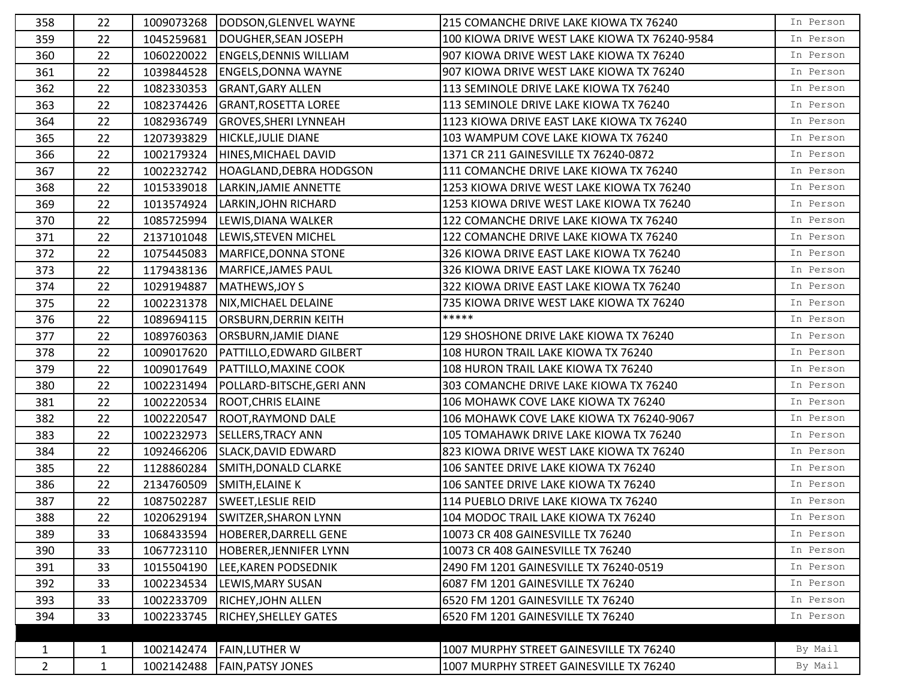| 358            | 22           |            | 1009073268  DODSON, GLENVEL WAYNE | 215 COMANCHE DRIVE LAKE KIOWA TX 76240        | In Person |
|----------------|--------------|------------|-----------------------------------|-----------------------------------------------|-----------|
| 359            | 22           | 1045259681 | DOUGHER, SEAN JOSEPH              | 100 KIOWA DRIVE WEST LAKE KIOWA TX 76240-9584 | In Person |
| 360            | 22           | 1060220022 | <b>ENGELS, DENNIS WILLIAM</b>     | 907 KIOWA DRIVE WEST LAKE KIOWA TX 76240      | In Person |
| 361            | 22           | 1039844528 | <b>ENGELS, DONNA WAYNE</b>        | 907 KIOWA DRIVE WEST LAKE KIOWA TX 76240      | In Person |
| 362            | 22           | 1082330353 | <b>GRANT, GARY ALLEN</b>          | 113 SEMINOLE DRIVE LAKE KIOWA TX 76240        | In Person |
| 363            | 22           | 1082374426 | <b>GRANT, ROSETTA LOREE</b>       | 113 SEMINOLE DRIVE LAKE KIOWA TX 76240        | In Person |
| 364            | 22           | 1082936749 | <b>GROVES, SHERI LYNNEAH</b>      | 1123 KIOWA DRIVE EAST LAKE KIOWA TX 76240     | In Person |
| 365            | 22           | 1207393829 | <b>HICKLE, JULIE DIANE</b>        | 103 WAMPUM COVE LAKE KIOWA TX 76240           | In Person |
| 366            | 22           | 1002179324 | HINES, MICHAEL DAVID              | 1371 CR 211 GAINESVILLE TX 76240-0872         | In Person |
| 367            | 22           | 1002232742 | HOAGLAND, DEBRA HODGSON           | 111 COMANCHE DRIVE LAKE KIOWA TX 76240        | In Person |
| 368            | 22           | 1015339018 | LARKIN, JAMIE ANNETTE             | 1253 KIOWA DRIVE WEST LAKE KIOWA TX 76240     | In Person |
| 369            | 22           | 1013574924 | LARKIN, JOHN RICHARD              | 1253 KIOWA DRIVE WEST LAKE KIOWA TX 76240     | In Person |
| 370            | 22           | 1085725994 | LEWIS, DIANA WALKER               | 122 COMANCHE DRIVE LAKE KIOWA TX 76240        | In Person |
| 371            | 22           | 2137101048 | LEWIS, STEVEN MICHEL              | 122 COMANCHE DRIVE LAKE KIOWA TX 76240        | In Person |
| 372            | 22           | 1075445083 | MARFICE, DONNA STONE              | 326 KIOWA DRIVE EAST LAKE KIOWA TX 76240      | In Person |
| 373            | 22           | 1179438136 | MARFICE, JAMES PAUL               | 326 KIOWA DRIVE EAST LAKE KIOWA TX 76240      | In Person |
| 374            | 22           | 1029194887 | MATHEWS, JOY S                    | 322 KIOWA DRIVE EAST LAKE KIOWA TX 76240      | In Person |
| 375            | 22           | 1002231378 | NIX, MICHAEL DELAINE              | 735 KIOWA DRIVE WEST LAKE KIOWA TX 76240      | In Person |
| 376            | 22           | 1089694115 | <b>ORSBURN, DERRIN KEITH</b>      | *****                                         | In Person |
| 377            | 22           | 1089760363 | <b>ORSBURN, JAMIE DIANE</b>       | 129 SHOSHONE DRIVE LAKE KIOWA TX 76240        | In Person |
| 378            | 22           | 1009017620 | PATTILLO, EDWARD GILBERT          | 108 HURON TRAIL LAKE KIOWA TX 76240           | In Person |
| 379            | 22           | 1009017649 | <b>PATTILLO, MAXINE COOK</b>      | 108 HURON TRAIL LAKE KIOWA TX 76240           | In Person |
| 380            | 22           | 1002231494 | POLLARD-BITSCHE, GERI ANN         | 303 COMANCHE DRIVE LAKE KIOWA TX 76240        | In Person |
| 381            | 22           | 1002220534 | <b>ROOT, CHRIS ELAINE</b>         | 106 MOHAWK COVE LAKE KIOWA TX 76240           | In Person |
| 382            | 22           | 1002220547 | ROOT, RAYMOND DALE                | 106 MOHAWK COVE LAKE KIOWA TX 76240-9067      | In Person |
| 383            | 22           | 1002232973 | <b>SELLERS, TRACY ANN</b>         | 105 TOMAHAWK DRIVE LAKE KIOWA TX 76240        | In Person |
| 384            | 22           | 1092466206 | SLACK, DAVID EDWARD               | 823 KIOWA DRIVE WEST LAKE KIOWA TX 76240      | In Person |
| 385            | 22           | 1128860284 | SMITH, DONALD CLARKE              | 106 SANTEE DRIVE LAKE KIOWA TX 76240          | In Person |
| 386            | 22           | 2134760509 | SMITH, ELAINE K                   | 106 SANTEE DRIVE LAKE KIOWA TX 76240          | In Person |
| 387            | 22           | 1087502287 | <b>SWEET, LESLIE REID</b>         | 114 PUEBLO DRIVE LAKE KIOWA TX 76240          | In Person |
| 388            | 22           |            | 1020629194 SWITZER, SHARON LYNN   | 104 MODOC TRAIL LAKE KIOWA TX 76240           | In Person |
| 389            | 33           | 1068433594 | HOBERER, DARRELL GENE             | 10073 CR 408 GAINESVILLE TX 76240             | In Person |
| 390            | 33           | 1067723110 | HOBERER, JENNIFER LYNN            | 10073 CR 408 GAINESVILLE TX 76240             | In Person |
| 391            | 33           | 1015504190 | LEE, KAREN PODSEDNIK              | 2490 FM 1201 GAINESVILLE TX 76240-0519        | In Person |
| 392            | 33           | 1002234534 | LEWIS, MARY SUSAN                 | 6087 FM 1201 GAINESVILLE TX 76240             | In Person |
| 393            | 33           | 1002233709 | <b>RICHEY, JOHN ALLEN</b>         | 6520 FM 1201 GAINESVILLE TX 76240             | In Person |
| 394            | 33           | 1002233745 | <b>RICHEY, SHELLEY GATES</b>      | 6520 FM 1201 GAINESVILLE TX 76240             | In Person |
|                |              |            |                                   |                                               |           |
| $\mathbf{1}$   | $\mathbf{1}$ | 1002142474 | <b>FAIN, LUTHER W</b>             | 1007 MURPHY STREET GAINESVILLE TX 76240       | By Mail   |
| $\overline{2}$ | $\mathbf{1}$ | 1002142488 | <b>FAIN, PATSY JONES</b>          | 1007 MURPHY STREET GAINESVILLE TX 76240       | By Mail   |